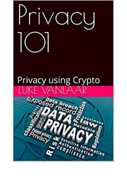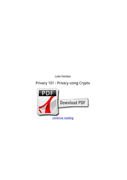*Luke Vanlaar*

## **Privacy 101 : Privacy using Crypto**

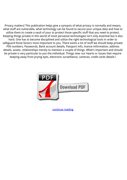Privacy matters! This publication helps give a synopsis of what privacy is normally and means, what stuff are vulnerable, what technology can be found to secure your unique data and how to utilize them to create a vault of your to protect those specific stuff that you need to protect. Keeping things private in this world of most pervasive technologies isn't only essential but it also hard. One has to become disciplined and utilize the right technological tools in order to safeguard those factors most important to you. There exists a lot of stuff we should keep private: PIN numbers, Passwords, Bank account details, Passport info, licence information, address details, assets, relationships merely to mention a couple of things. What's important and should be private is very particular to you the individual. Things near our hearts or issues that require keeping away from prying eyes, electronic surveillance, cameras, credit cards details.!



[continue reading](http://bit.ly/2Tge8Fv)